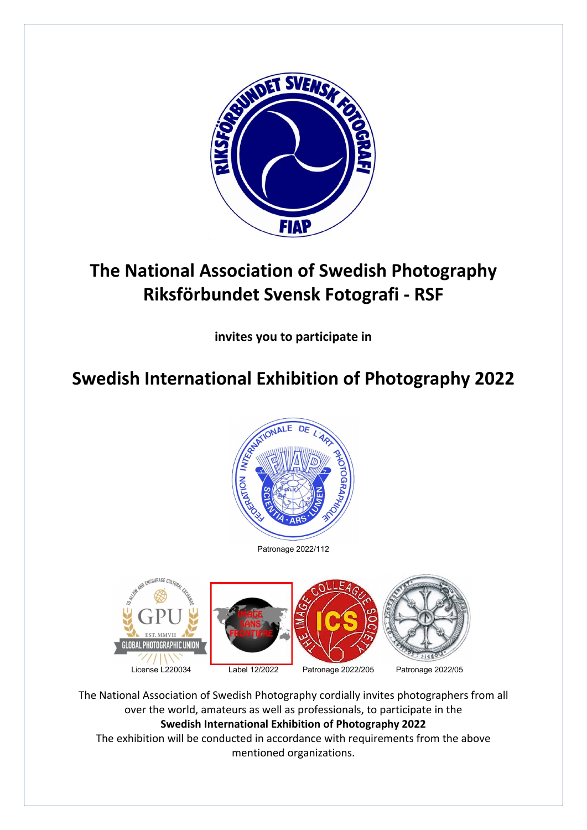

# The National Association of Swedish Photography Riksförbundet Svensk Fotografi - RSF

invites you to participate in

# Swedish International Exhibition of Photography 2022



Patronage 2022/112



The National Association of Swedish Photography cordially invites photographers from all over the world, amateurs as well as professionals, to participate in the Swedish International Exhibition of Photography 2022 The exhibition will be conducted in accordance with requirements from the above mentioned organizations.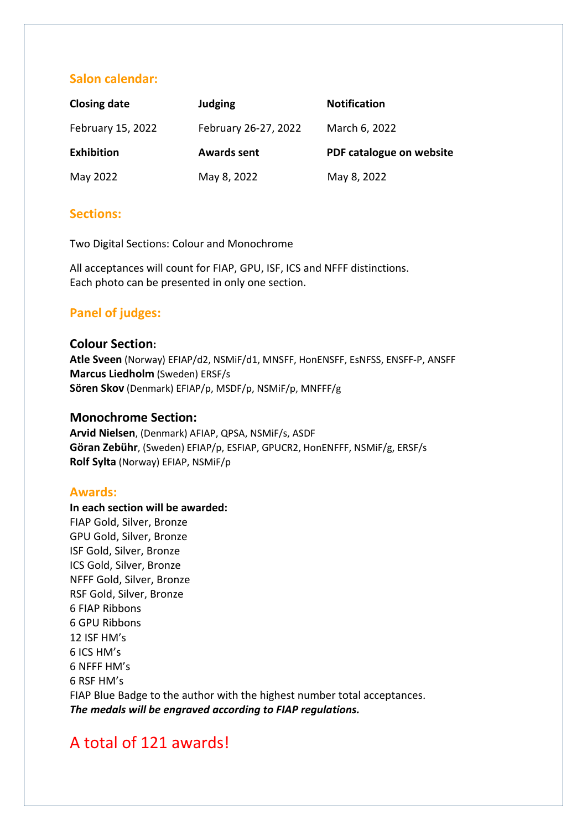### Salon calendar:

| <b>Closing date</b> | <b>Judging</b>       | <b>Notification</b>      |
|---------------------|----------------------|--------------------------|
| February 15, 2022   | February 26-27, 2022 | March 6, 2022            |
| <b>Exhibition</b>   | <b>Awards sent</b>   | PDF catalogue on website |
| May 2022            | May 8, 2022          | May 8, 2022              |

#### Sections:

Two Digital Sections: Colour and Monochrome

All acceptances will count for FIAP, GPU, ISF, ICS and NFFF distinctions. Each photo can be presented in only one section.

## Panel of judges:

#### Colour Section:

Atle Sveen (Norway) EFIAP/d2, NSMiF/d1, MNSFF, HonENSFF, EsNFSS, ENSFF-P, ANSFF Marcus Liedholm (Sweden) ERSF/s Sören Skov (Denmark) EFIAP/p, MSDF/p, NSMiF/p, MNFFF/g

#### Monochrome Section:

Arvid Nielsen, (Denmark) AFIAP, QPSA, NSMiF/s, ASDF Göran Zebühr, (Sweden) EFIAP/p, ESFIAP, GPUCR2, HonENFFF, NSMiF/g, ERSF/s Rolf Sylta (Norway) EFIAP, NSMiF/p

#### Awards:

In each section will be awarded: FIAP Gold, Silver, Bronze GPU Gold, Silver, Bronze ISF Gold, Silver, Bronze ICS Gold, Silver, Bronze NFFF Gold, Silver, Bronze RSF Gold, Silver, Bronze 6 FIAP Ribbons 6 GPU Ribbons 12 ISF HM's 6 ICS HM's 6 NFFF HM's 6 RSF HM's FIAP Blue Badge to the author with the highest number total acceptances. *The medals will be engraved according to FIAP regulations.*

# A total of 121 awards!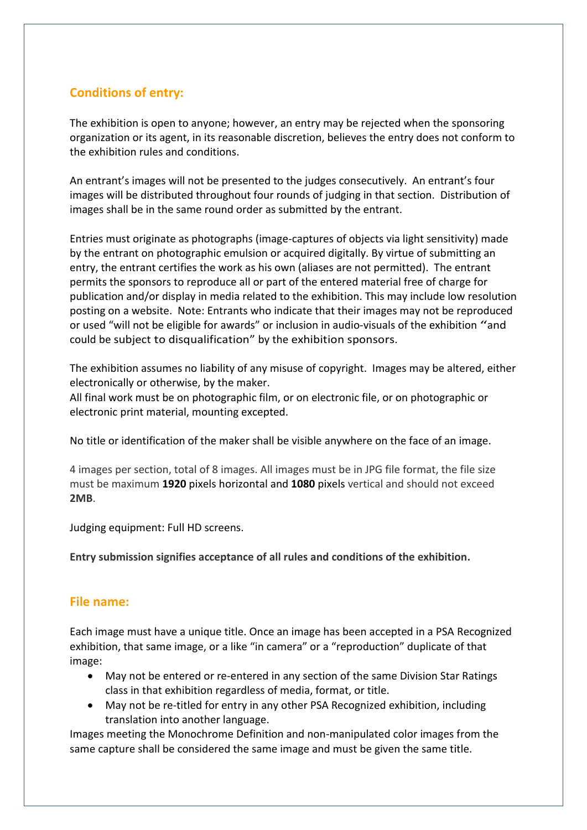# Conditions of entry:

The exhibition is open to anyone; however, an entry may be rejected when the sponsoring organization or its agent, in its reasonable discretion, believes the entry does not conform to the exhibition rules and conditions.

An entrant's images will not be presented to the judges consecutively. An entrant's four images will be distributed throughout four rounds of judging in that section. Distribution of images shall be in the same round order as submitted by the entrant.

Entries must originate as photographs (image-captures of objects via light sensitivity) made by the entrant on photographic emulsion or acquired digitally. By virtue of submitting an entry, the entrant certifies the work as his own (aliases are not permitted). The entrant permits the sponsors to reproduce all or part of the entered material free of charge for publication and/or display in media related to the exhibition. This may include low resolution posting on a website. Note: Entrants who indicate that their images may not be reproduced or used "will not be eligible for awards" or inclusion in audio-visuals of the exhibition "and could be subject to disqualification" by the exhibition sponsors.

The exhibition assumes no liability of any misuse of copyright. Images may be altered, either electronically or otherwise, by the maker.

All final work must be on photographic film, or on electronic file, or on photographic or electronic print material, mounting excepted.

No title or identification of the maker shall be visible anywhere on the face of an image.

4 images per section, total of 8 images. All images must be in JPG file format, the file size must be maximum 1920 pixels horizontal and 1080 pixels vertical and should not exceed 2MB.

Judging equipment: Full HD screens.

Entry submission signifies acceptance of all rules and conditions of the exhibition.

### File name:

Each image must have a unique title. Once an image has been accepted in a PSA Recognized exhibition, that same image, or a like "in camera" or a "reproduction" duplicate of that image:

- May not be entered or re-entered in any section of the same Division Star Ratings class in that exhibition regardless of media, format, or title.
- May not be re-titled for entry in any other PSA Recognized exhibition, including translation into another language.

Images meeting the Monochrome Definition and non-manipulated color images from the same capture shall be considered the same image and must be given the same title.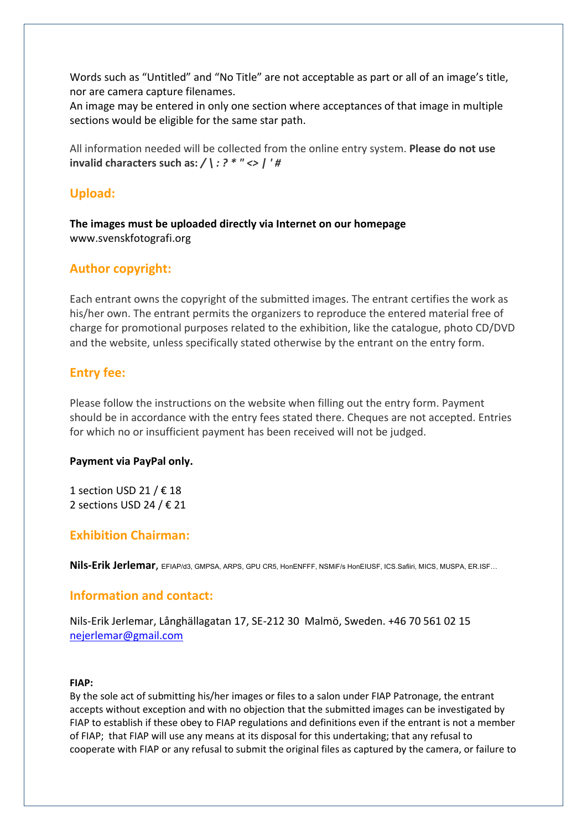Words such as "Untitled" and "No Title" are not acceptable as part or all of an image's title, nor are camera capture filenames.

An image may be entered in only one section where acceptances of that image in multiple sections would be eligible for the same star path.

All information needed will be collected from the online entry system. Please do not use invalid characters such as: */ \ : ? \* " <> | ' #*

### Upload:

The images must be uploaded directly via Internet on our homepage [www.svenskfotografi.org](http://www.svenskfotografi.org/)

## Author copyright:

Each entrant owns the copyright of the submitted images. The entrant certifies the work as his/her own. The entrant permits the organizers to reproduce the entered material free of charge for promotional purposes related to the exhibition, like the catalogue, photo CD/DVD and the website, unless specifically stated otherwise by the entrant on the entry form.

### Entry fee:

Please follow the instructions on the website when filling out the entry form. Payment should be in accordance with the entry fees stated there. Cheques are not accepted. Entries for which no or insufficient payment has been received will not be judged.

#### Payment via PayPal only.

1 section USD 21 /  $\epsilon$  18 2 sections USD 24 / € 21

### Exhibition Chairman:

Nils-Erik Jerlemar, EFIAP/d3, GMPSA, ARPS, GPU CR5, HonENFFF, NSMiF/s HonEIUSF, ICS.Safiiri, MICS, MUSPA, ER.ISF…

### Information and contact:

Nils-Erik Jerlemar, Långhällagatan 17, SE-212 30 Malmö, Sweden. +46 70 561 02 15 [nejerlemar@gmail.com](mailto:nejerlemar@gmail.com)

#### FIAP:

By the sole act of submitting his/her images or files to a salon under FIAP Patronage, the entrant accepts without exception and with no objection that the submitted images can be investigated by FIAP to establish if these obey to FIAP regulations and definitions even if the entrant is not a member of FIAP; that FIAP will use any means at its disposal for this undertaking; that any refusal to cooperate with FIAP or any refusal to submit the original files as captured by the camera, or failure to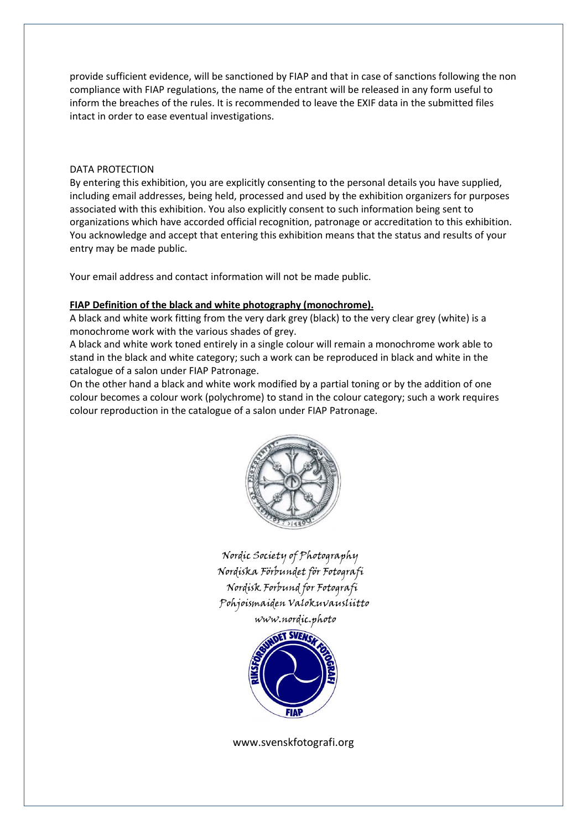provide sufficient evidence, will be sanctioned by FIAP and that in case of sanctions following the non compliance with FIAP regulations, the name of the entrant will be released in any form useful to inform the breaches of the rules. It is recommended to leave the EXIF data in the submitted files intact in order to ease eventual investigations.

#### DATA PROTECTION

By entering this exhibition, you are explicitly consenting to the personal details you have supplied, including email addresses, being held, processed and used by the exhibition organizers for purposes associated with this exhibition. You also explicitly consent to such information being sent to organizations which have accorded official recognition, patronage or accreditation to this exhibition. You acknowledge and accept that entering this exhibition means that the status and results of your entry may be made public.

Your email address and contact information will not be made public.

#### FIAP Definition of the black and white photography (monochrome).

A black and white work fitting from the very dark grey (black) to the very clear grey (white) is a monochrome work with the various shades of grey.

A black and white work toned entirely in a single colour will remain a monochrome work able to stand in the black and white category; such a work can be reproduced in black and white in the catalogue of a salon under FIAP Patronage.

On the other hand a black and white work modified by a partial toning or by the addition of one colour becomes a colour work (polychrome) to stand in the colour category; such a work requires colour reproduction in the catalogue of a salon under FIAP Patronage.



 Nordic Society of Photography Nordiska Förbundet för Fotografi Nordisk Forbund for Fotografi Pohjoismaiden Valokuvausliitto www.nordic.photo



www.svenskfotografi.org